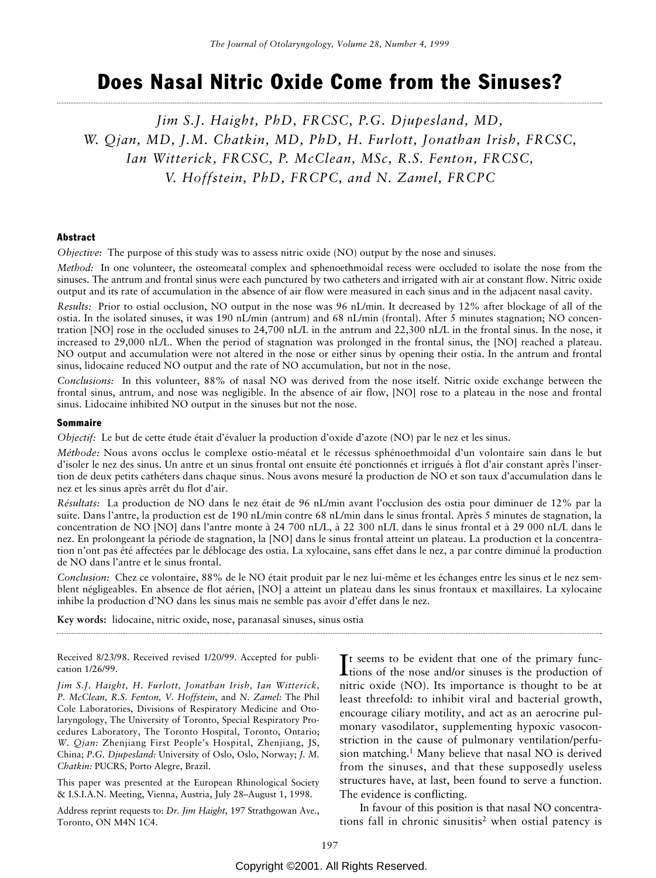# Does Nasal Nitric Oxide Come from the Sinuses?

*Jim S.J. Haight, PhD, FRCSC, P.G. Djupesland, MD, W. Qjan, MD, J.M. Chatkin, MD, PhD, H. Furlott, Jonathan Irish, FRCSC, Ian Witterick, FRCSC, P. McClean, MSc, R.S. Fenton, FRCSC, V. Hoffstein, PhD, FRCPC, and N. Zamel, FRCPC*

#### Abstract

*Objective:* The purpose of this study was to assess nitric oxide (NO) output by the nose and sinuses.

*Method:* In one volunteer, the osteomeatal complex and sphenoethmoidal recess were occluded to isolate the nose from the sinuses. The antrum and frontal sinus were each punctured by two catheters and irrigated with air at constant flow. Nitric oxide output and its rate of accumulation in the absence of air flow were measured in each sinus and in the adjacent nasal cavity.

*Results:* Prior to ostial occlusion, NO output in the nose was 96 nL/min. It decreased by 12% after blockage of all of the ostia. In the isolated sinuses, it was 190 nL/min (antrum) and 68 nL/min (frontal). After 5 minutes stagnation; NO concentration [NO] rose in the occluded sinuses to 24,700 nL/L in the antrum and 22,300 nL/L in the frontal sinus. In the nose, it increased to 29,000 nL/L. When the period of stagnation was prolonged in the frontal sinus, the [NO] reached a plateau. NO output and accumulation were not altered in the nose or either sinus by opening their ostia. In the antrum and frontal sinus, lidocaine reduced NO output and the rate of NO accumulation, but not in the nose.

*Conclusions:* In this volunteer, 88% of nasal NO was derived from the nose itself. Nitric oxide exchange between the frontal sinus, antrum, and nose was negligible. In the absence of air flow, [NO] rose to a plateau in the nose and frontal sinus. Lidocaine inhibited NO output in the sinuses but not the nose.

#### Sommaire

*Objectif:* Le but de cette étude était d'évaluer la production d'oxide d'azote (NO) par le nez et les sinus.

*Méthode:* Nous avons occlus le complexe ostio-méatal et le récessus sphénoethmoidal d'un volontaire sain dans le but d'isoler le nez des sinus. Un antre et un sinus frontal ont ensuite été ponctionnés et irrigués à flot d'air constant après l'insertion de deux petits cathéters dans chaque sinus. Nous avons mesuré la production de NO et son taux d'accumulation dans le nez et les sinus après arrêt du flot d'air.

*Résultats:* La production de NO dans le nez était de 96 nL/min avant l'occlusion des ostia pour diminuer de 12% par la suite. Dans l'antre, la production est de 190 nL/min contre 68 nL/min dans le sinus frontal. Après 5 minutes de stagnation, la concentration de NO [NO] dans l'antre monte à 24 700 nL/L, à 22 300 nL/L dans le sinus frontal et à 29 000 nL/L dans le nez. En prolongeant la période de stagnation, la [NO] dans le sinus frontal atteint un plateau. La production et la concentration n'ont pas été affectées par le déblocage des ostia. La xylocaine, sans effet dans le nez, a par contre diminué la production de NO dans l'antre et le sinus frontal.

*Conclusion:* Chez ce volontaire, 88% de le NO était produit par le nez lui-même et les échanges entre les sinus et le nez semblent négligeables. En absence de flot aérien, [NO] a atteint un plateau dans les sinus frontaux et maxillaires. La xylocaine inhibe la production d'NO dans les sinus mais ne semble pas avoir d'effet dans le nez.

**Key words:** lidocaine, nitric oxide, nose, paranasal sinuses, sinus ostia

Received 8/23/98. Received revised 1/20/99. Accepted for publication 1/26/99.

*Jim S.J. Haight, H. Furlott, Jonathan Irish, Ian Witterick, P. McClean, R.S. Fenton, V. Hoffstein*, and *N. Zamel:* The Phil Cole Laboratories, Divisions of Respiratory Medicine and Otolaryngology, The University of Toronto, Special Respiratory Procedures Laboratory, The Toronto Hospital, Toronto, Ontario; *W. Qjan:* Zhenjiang First People's Hospital, Zhenjiang, JS, China; *P.G. Djupesland:* University of Oslo, Oslo, Norway; *J. M. Chatkin:* PUCRS, Porto Alegre, Brazil.

This paper was presented at the European Rhinological Society & I.S.I.A.N. Meeting, Vienna, Austria, July 28–August 1, 1998.

Address reprint requests to: *Dr. Jim Haight*, 197 Strathgowan Ave., Toronto, ON M4N 1C4.

It seems to be evident that one of the primary func-<br>tions of the nose and/or sinuses is the production of It seems to be evident that one of the primary funcnitric oxide (NO). Its importance is thought to be at least threefold: to inhibit viral and bacterial growth, encourage ciliary motility, and act as an aerocrine pulmonary vasodilator, supplementing hypoxic vasoconstriction in the cause of pulmonary ventilation/perfusion matching.1 Many believe that nasal NO is derived from the sinuses, and that these supposedly useless structures have, at last, been found to serve a function. The evidence is conflicting.

In favour of this position is that nasal NO concentrations fall in chronic sinusitis<sup>2</sup> when ostial patency is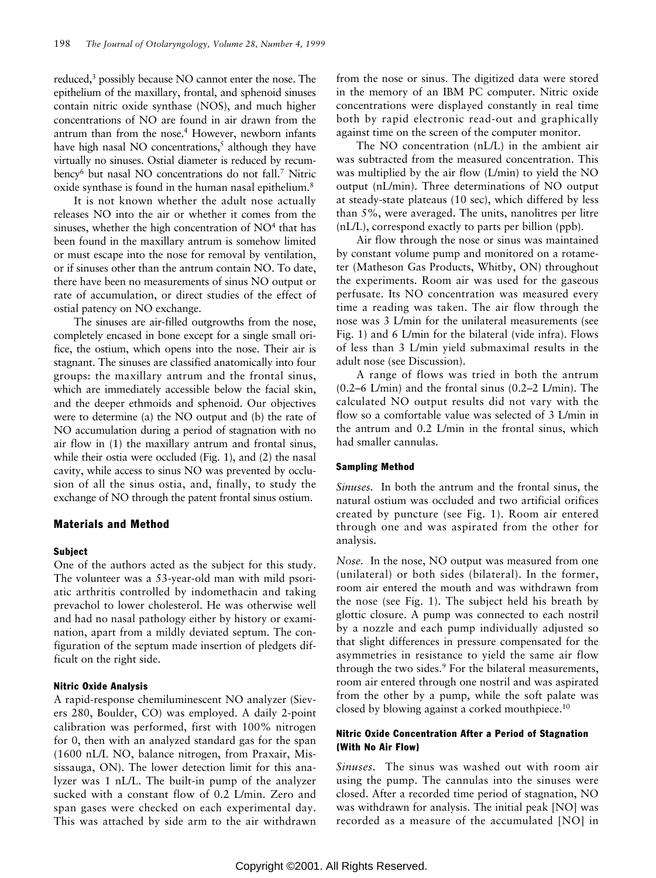reduced,3 possibly because NO cannot enter the nose. The epithelium of the maxillary, frontal, and sphenoid sinuses contain nitric oxide synthase (NOS), and much higher concentrations of NO are found in air drawn from the antrum than from the nose.<sup>4</sup> However, newborn infants have high nasal NO concentrations,<sup>5</sup> although they have virtually no sinuses. Ostial diameter is reduced by recumbency<sup>6</sup> but nasal NO concentrations do not fall.<sup>7</sup> Nitric oxide synthase is found in the human nasal epithelium.8

It is not known whether the adult nose actually releases NO into the air or whether it comes from the sinuses, whether the high concentration of  $NO<sup>4</sup>$  that has been found in the maxillary antrum is somehow limited or must escape into the nose for removal by ventilation, or if sinuses other than the antrum contain NO. To date, there have been no measurements of sinus NO output or rate of accumulation, or direct studies of the effect of ostial patency on NO exchange.

The sinuses are air-filled outgrowths from the nose, completely encased in bone except for a single small orifice, the ostium, which opens into the nose. Their air is stagnant. The sinuses are classified anatomically into four groups: the maxillary antrum and the frontal sinus, which are immediately accessible below the facial skin, and the deeper ethmoids and sphenoid. Our objectives were to determine (a) the NO output and (b) the rate of NO accumulation during a period of stagnation with no air flow in (1) the maxillary antrum and frontal sinus, while their ostia were occluded [\(Fig. 1\),](#page-2-0) [and \(2\)](#page-5-0) the nasal cavity, while access to sinus NO was prevented by occlusion of all the sinus ostia, and, finally, to study the exchange of NO through the patent frontal sinus ostium.

## Materials and Method

# Subject

One of the authors acted as the subject for this study. The volunteer was a 53-year-old man with mild psoriatic arthritis controlled by indomethacin and taking prevachol to lower cholesterol. He was otherwise well and had no nasal pathology either by history or examination, apart from a mildly deviated septum. The configuration of the septum made insertion of pledgets difficult on the right side.

#### Nitric Oxide Analysis

A rapid-response chemiluminescent NO analyzer (Sievers 280, Boulder, CO) was employed. A daily 2-point calibration was performed, first with 100% nitrogen for 0, then with an analyzed standard gas for the span (1600 nL/L NO, balance nitrogen, from Praxair, Mississauga, ON). The lower detection limit for this analyzer was 1 nL/L. The built-in pump of the analyzer sucked with a constant flow of 0.2 L/min. Zero and span gases were checked on each experimental day. This was attached by side arm to the air withdrawn from the nose or sinus. The digitized data were stored in the memory of an IBM PC computer. Nitric oxide concentrations were displayed constantly in real time both by rapid electronic read-out and graphically against time on the screen of the computer monitor.

The NO concentration (nL/L) in the ambient air was subtracted from the measured concentration. This was multiplied by the air flow (L/min) to yield the NO output (nL/min). Three determinations of NO output at steady-state plateaus (10 sec), which differed by less than 5%, were averaged. The units, nanolitres per litre (nL/L), correspond exactly to parts per billion (ppb).

Air flow through the nose or sinus was maintained by constant volume pump and monitored on a rotameter (Matheson Gas Products, Whitby, ON) throughout the experiments. Room air was used for the gaseous perfusate. Its NO concentration was measured every time a reading was taken. The air flow through the nose was 3 L/min for the unilateral measurements (see [Fig. 1\)](#page-2-0) and 6 L/min for the bilateral (vide infra). Flows of less than 3 L/min yield submaximal results in the adult nose (see Discussion).

A range of flows was tried in both the antrum (0.2–6 L/min) and the frontal sinus (0.2–2 L/min). The calculated NO output results did not vary with the flow so a comfortable value was selected of 3 L/min in the antrum and 0.2 L/min in the frontal sinus, which had smaller cannulas.

#### Sampling Method

*Sinuses.* In both the antrum and the frontal sinus, the natural ostium was occluded and two artificial orifices created by puncture [\(see Fig. 1\).](#page-2-0) Room air entered through one and was aspirated from the other for analysis.

*Nose.* In the nose, NO output was measured from one (unilateral) or both sides (bilateral). In the former, room air entered the mouth and was withdrawn from the nose [\(see Fig. 1\).](#page-2-0) The subject held his breath by glottic closure. A pump was connected to each nostril by a nozzle and each pump individually adjusted so that slight differences in pressure compensated for the asymmetries in resistance to yield the same air flow through the two sides.<sup>9</sup> For the bilateral measurements, room air entered through one nostril and was aspirated from the other by a pump, while the soft palate was closed by blowing against a corked mouthpiece.<sup>10</sup>

## Nitric Oxide Concentration After a Period of Stagnation (With No Air Flow)

*Sinuses.* The sinus was washed out with room air using the pump. The cannulas into the sinuses were closed. After a recorded time period of stagnation, NO was withdrawn for analysis. The initial peak [NO] was recorded as a measure of the accumulated [NO] in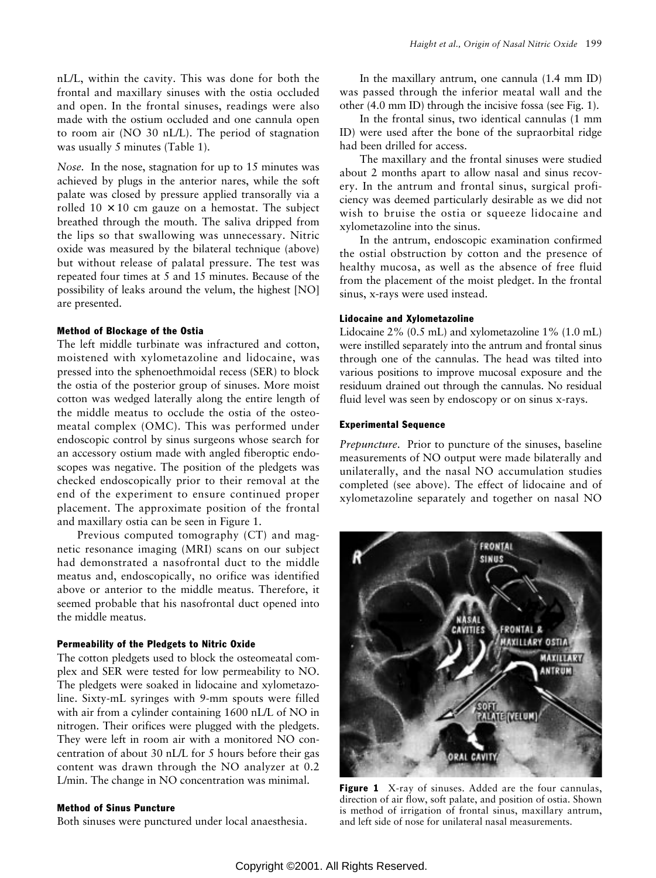<span id="page-2-0"></span>nL/L, within the cavity. This was done for both the frontal and maxillary sinuses with the ostia occluded and open. In the frontal sinuses, readings were also made with the ostium occluded and one cannula open to room air (NO 30 nL/L). The period of stagnation was usually 5 minutes [\(Table 1\).](#page-3-0)

*Nose.* In the nose, stagnation for up to 15 minutes was achieved by plugs in the anterior nares, while the soft palate was closed by pressure applied transorally via a rolled  $10 \times 10$  cm gauze on a hemostat. The subject breathed through the mouth. The saliva dripped from the lips so that swallowing was unnecessary. Nitric oxide was measured by the bilateral technique (above) but without release of palatal pressure. The test was repeated four times at 5 and 15 minutes. Because of the possibility of leaks around the velum, the highest [NO] are presented.

#### Method of Blockage of the Ostia

The left middle turbinate was infractured and cotton, moistened with xylometazoline and lidocaine, was pressed into the sphenoethmoidal recess (SER) to block the ostia of the posterior group of sinuses. More moist cotton was wedged laterally along the entire length of the middle meatus to occlude the ostia of the osteomeatal complex (OMC). This was performed under endoscopic control by sinus surgeons whose search for an accessory ostium made with angled fiberoptic endoscopes was negative. The position of the pledgets was checked endoscopically prior to their removal at the end of the experiment to ensure continued proper placement. The approximate position of the frontal and maxillary ostia can be seen in Figure 1.

Previous computed tomography (CT) and magnetic resonance imaging (MRI) scans on our subject had demonstrated a nasofrontal duct to the middle meatus and, endoscopically, no orifice was identified above or anterior to the middle meatus. Therefore, it seemed probable that his nasofrontal duct opened into the middle meatus.

#### Permeability of the Pledgets to Nitric Oxide

The cotton pledgets used to block the osteomeatal complex and SER were tested for low permeability to NO. The pledgets were soaked in lidocaine and xylometazoline. Sixty-mL syringes with 9-mm spouts were filled with air from a cylinder containing 1600 nL/L of NO in nitrogen. Their orifices were plugged with the pledgets. They were left in room air with a monitored NO concentration of about 30 nL/L for 5 hours before their gas content was drawn through the NO analyzer at 0.2 L/min. The change in NO concentration was minimal.

#### Method of Sinus Puncture

Both sinuses were punctured under local anaesthesia.

In the maxillary antrum, one cannula (1.4 mm ID) was passed through the inferior meatal wall and the other (4.0 mm ID) through the incisive fossa (see Fig. 1).

In the frontal sinus, two identical cannulas (1 mm ID) were used after the bone of the supraorbital ridge had been drilled for access.

The maxillary and the frontal sinuses were studied about 2 months apart to allow nasal and sinus recovery. In the antrum and frontal sinus, surgical proficiency was deemed particularly desirable as we did not wish to bruise the ostia or squeeze lidocaine and xylometazoline into the sinus.

In the antrum, endoscopic examination confirmed the ostial obstruction by cotton and the presence of healthy mucosa, as well as the absence of free fluid from the placement of the moist pledget. In the frontal sinus, x-rays were used instead.

# Lidocaine and Xylometazoline

Lidocaine 2% (0.5 mL) and xylometazoline 1% (1.0 mL) were instilled separately into the antrum and frontal sinus through one of the cannulas. The head was tilted into various positions to improve mucosal exposure and the residuum drained out through the cannulas. No residual fluid level was seen by endoscopy or on sinus x-rays.

#### Experimental Sequence

*Prepuncture.* Prior to puncture of the sinuses, baseline measurements of NO output were made bilaterally and unilaterally, and the nasal NO accumulation studies completed (see above). The effect of lidocaine and of xylometazoline separately and together on nasal NO



Figure 1 X-ray of sinuses. Added are the four cannulas, direction of air flow, soft palate, and position of ostia. Shown is method of irrigation of frontal sinus, maxillary antrum, and left side of nose for unilateral nasal measurements.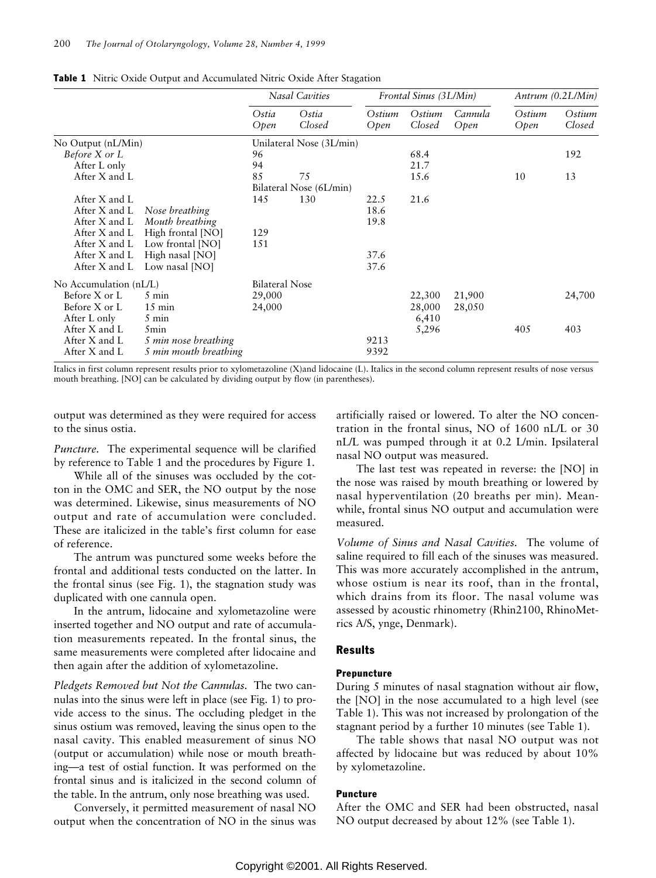|                        |                       | <b>Nasal Cavities</b>   |                          | Frontal Sinus (3L/Min) |                  |                 | Antrum (0.2L/Min) |                  |
|------------------------|-----------------------|-------------------------|--------------------------|------------------------|------------------|-----------------|-------------------|------------------|
|                        |                       | Ostia<br>Open           | Ostia<br>Closed          | Ostium<br>Open         | Ostium<br>Closed | Cannula<br>Open | Ostium<br>Open    | Ostium<br>Closed |
| No Output (nL/Min)     |                       |                         | Unilateral Nose (3L/min) |                        |                  |                 |                   |                  |
| Before X or L          |                       | 96                      |                          |                        | 68.4             |                 |                   | 192              |
| After L only           |                       | 94                      |                          |                        | 21.7             |                 |                   |                  |
| After X and L          |                       | 85                      | 75                       |                        | 15.6             |                 | 10                | 13               |
|                        |                       | Bilateral Nose (6L/min) |                          |                        |                  |                 |                   |                  |
| After X and L          |                       | 145                     | 130                      | 22.5                   | 21.6             |                 |                   |                  |
| After X and L          | Nose breathing        |                         |                          | 18.6                   |                  |                 |                   |                  |
| After X and L          | Mouth breathing       |                         |                          | 19.8                   |                  |                 |                   |                  |
| After X and L          | High frontal [NO]     | 129                     |                          |                        |                  |                 |                   |                  |
| After X and L          | Low frontal [NO]      | 151                     |                          |                        |                  |                 |                   |                  |
| After X and L          | High nasal [NO]       |                         |                          | 37.6                   |                  |                 |                   |                  |
| After X and L          | Low nasal [NO]        |                         |                          | 37.6                   |                  |                 |                   |                  |
| No Accumulation (nL/L) |                       | <b>Bilateral Nose</b>   |                          |                        |                  |                 |                   |                  |
| Before X or L          | $5 \text{ min}$       | 29,000                  |                          |                        | 22,300           | 21,900          |                   | 24,700           |
| Before X or L          | $15 \text{ min}$      | 24,000                  |                          |                        | 28,000           | 28,050          |                   |                  |
| After L only           | 5 min                 |                         |                          |                        | 6,410            |                 |                   |                  |
| After X and L          | 5 <sub>min</sub>      |                         |                          |                        | 5,296            |                 | 405               | 403              |
| After X and L          | 5 min nose breathing  |                         |                          | 9213                   |                  |                 |                   |                  |
| After X and L          | 5 min mouth breathing |                         |                          | 9392                   |                  |                 |                   |                  |

<span id="page-3-0"></span>Table 1 Nitric Oxide Output and Accumulated Nitric Oxide After Stagation

Italics in first column represent results prior to xylometazoline (X)and lidocaine (L). Italics in the second column represent results of nose versus mouth breathing. [NO] can be calculated by dividing output by flow (in parentheses).

output was determined as they were required for access to the sinus ostia.

*Puncture.* The experimental sequence will be clarified by reference to Table 1 and the procedures by [Figure 1.](#page-2-0)

While all of the sinuses was occluded by the cotton in the OMC and SER, the NO output by the nose was determined. Likewise, sinus measurements of NO output and rate of accumulation were concluded. These are italicized in the table's first column for ease of reference.

The antrum was punctured some weeks before the frontal and additional tests conducted on the latter. In the frontal sinus [\(see Fig. 1\),](#page-2-0) the stagnation study was duplicated with one cannula open.

In the antrum, lidocaine and xylometazoline were inserted together and NO output and rate of accumulation measurements repeated. In the frontal sinus, the same measurements were completed after lidocaine and then again after the addition of xylometazoline.

*Pledgets Removed but Not the Cannulas.* The two cannulas into the sinus were left in place [\(see Fig. 1\)](#page-2-0) to provide access to the sinus. The occluding pledget in the sinus ostium was removed, leaving the sinus open to the nasal cavity. This enabled measurement of sinus NO (output or accumulation) while nose or mouth breathing—a test of ostial function. It was performed on the frontal sinus and is italicized in the second column of the table. In the antrum, only nose breathing was used.

Conversely, it permitted measurement of nasal NO output when the concentration of NO in the sinus was artificially raised or lowered. To alter the NO concentration in the frontal sinus, NO of 1600 nL/L or 30 nL/L was pumped through it at 0.2 L/min. Ipsilateral nasal NO output was measured.

The last test was repeated in reverse: the [NO] in the nose was raised by mouth breathing or lowered by nasal hyperventilation (20 breaths per min). Meanwhile, frontal sinus NO output and accumulation were measured.

*Volume of Sinus and Nasal Cavities.* The volume of saline required to fill each of the sinuses was measured. This was more accurately accomplished in the antrum, whose ostium is near its roof, than in the frontal, which drains from its floor. The nasal volume was assessed by acoustic rhinometry (Rhin2100, RhinoMetrics A/S, ynge, Denmark).

#### Results

#### Prepuncture

During 5 minutes of nasal stagnation without air flow, the [NO] in the nose accumulated to a high level (see Table 1). This was not increased by prolongation of the stagnant period by a further 10 minutes (see Table 1).

The table shows that nasal NO output was not affected by lidocaine but was reduced by about 10% by xylometazoline.

#### Puncture

After the OMC and SER had been obstructed, nasal NO output decreased by about 12% (see Table 1).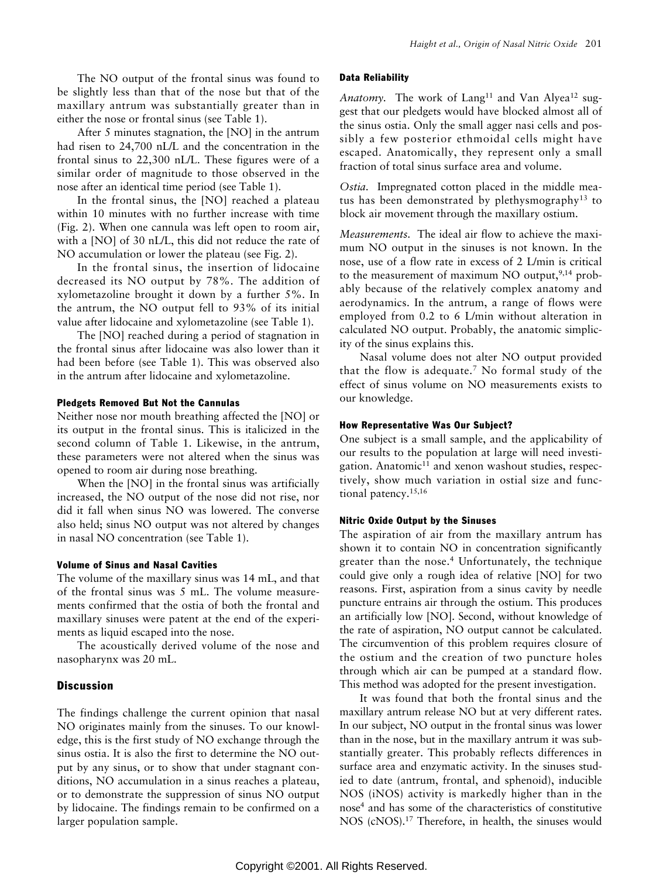The NO output of the frontal sinus was found to be slightly less than that of the nose but that of the maxillary antrum was substantially greater than in either the nose or frontal sinus [\(see Table 1\).](#page-3-0)

After 5 minutes stagnation, the [NO] in the antrum had risen to 24,700 nL/L and the concentration in the frontal sinus to 22,300 nL/L. These figures were of a similar order of magnitude to those observed in the nose after an identical time period [\(see Table 1\).](#page-3-0)

In the frontal sinus, the [NO] reached a plateau within 10 minutes with no further increase with time [\(Fig. 2\).](#page-5-0) When one cannula was left open to room air, with a [NO] of 30 nL/L, this did not reduce the rate of NO accumulation or lower the plateau [\(see Fig. 2\).](#page-5-0)

In the frontal sinus, the insertion of lidocaine decreased its NO output by 78%. The addition of xylometazoline brought it down by a further 5%. In the antrum, the NO output fell to 93% of its initial value after lidocaine and xylometazoline [\(see Table 1\).](#page-3-0)

The [NO] reached during a period of stagnation in the frontal sinus after lidocaine was also lower than it had been before [\(see Table 1\).](#page-3-0) This was observed also in the antrum after lidocaine and xylometazoline.

## Pledgets Removed But Not the Cannulas

Neither nose nor mouth breathing affected the [NO] or its output in the frontal sinus. This is italicized in the second column of [Table 1.](#page-3-0) Likewise, in the antrum, these parameters were not altered when the sinus was opened to room air during nose breathing.

When the [NO] in the frontal sinus was artificially increased, the NO output of the nose did not rise, nor did it fall when sinus NO was lowered. The converse also held; sinus NO output was not altered by changes in nasal NO concentration [\(see Table 1\).](#page-3-0)

## Volume of Sinus and Nasal Cavities

The volume of the maxillary sinus was 14 mL, and that of the frontal sinus was 5 mL. The volume measurements confirmed that the ostia of both the frontal and maxillary sinuses were patent at the end of the experiments as liquid escaped into the nose.

The acoustically derived volume of the nose and nasopharynx was 20 mL.

# **Discussion**

The findings challenge the current opinion that nasal NO originates mainly from the sinuses. To our knowledge, this is the first study of NO exchange through the sinus ostia. It is also the first to determine the NO output by any sinus, or to show that under stagnant conditions, NO accumulation in a sinus reaches a plateau, or to demonstrate the suppression of sinus NO output by lidocaine. The findings remain to be confirmed on a larger population sample.

## Data Reliability

Anatomy. The work of Lang<sup>11</sup> and Van Alyea<sup>12</sup> suggest that our pledgets would have blocked almost all of the sinus ostia. Only the small agger nasi cells and possibly a few posterior ethmoidal cells might have escaped. Anatomically, they represent only a small fraction of total sinus surface area and volume.

*Ostia.* Impregnated cotton placed in the middle meatus has been demonstrated by plethysmography<sup>13</sup> to block air movement through the maxillary ostium.

*Measurements.* The ideal air flow to achieve the maximum NO output in the sinuses is not known. In the nose, use of a flow rate in excess of 2 L/min is critical to the measurement of maximum NO output, $9,14$  probably because of the relatively complex anatomy and aerodynamics. In the antrum, a range of flows were employed from 0.2 to 6 L/min without alteration in calculated NO output. Probably, the anatomic simplicity of the sinus explains this.

Nasal volume does not alter NO output provided that the flow is adequate.<sup>7</sup> No formal study of the effect of sinus volume on NO measurements exists to our knowledge.

# How Representative Was Our Subject?

One subject is a small sample, and the applicability of our results to the population at large will need investigation. Anatomic $11$  and xenon washout studies, respectively, show much variation in ostial size and functional patency.15,16

## Nitric Oxide Output by the Sinuses

The aspiration of air from the maxillary antrum has shown it to contain NO in concentration significantly greater than the nose.<sup>4</sup> Unfortunately, the technique could give only a rough idea of relative [NO] for two reasons. First, aspiration from a sinus cavity by needle puncture entrains air through the ostium. This produces an artificially low [NO]. Second, without knowledge of the rate of aspiration, NO output cannot be calculated. The circumvention of this problem requires closure of the ostium and the creation of two puncture holes through which air can be pumped at a standard flow. This method was adopted for the present investigation.

It was found that both the frontal sinus and the maxillary antrum release NO but at very different rates. In our subject, NO output in the frontal sinus was lower than in the nose, but in the maxillary antrum it was substantially greater. This probably reflects differences in surface area and enzymatic activity. In the sinuses studied to date (antrum, frontal, and sphenoid), inducible NOS (iNOS) activity is markedly higher than in the nose4 and has some of the characteristics of constitutive NOS (cNOS).17 Therefore, in health, the sinuses would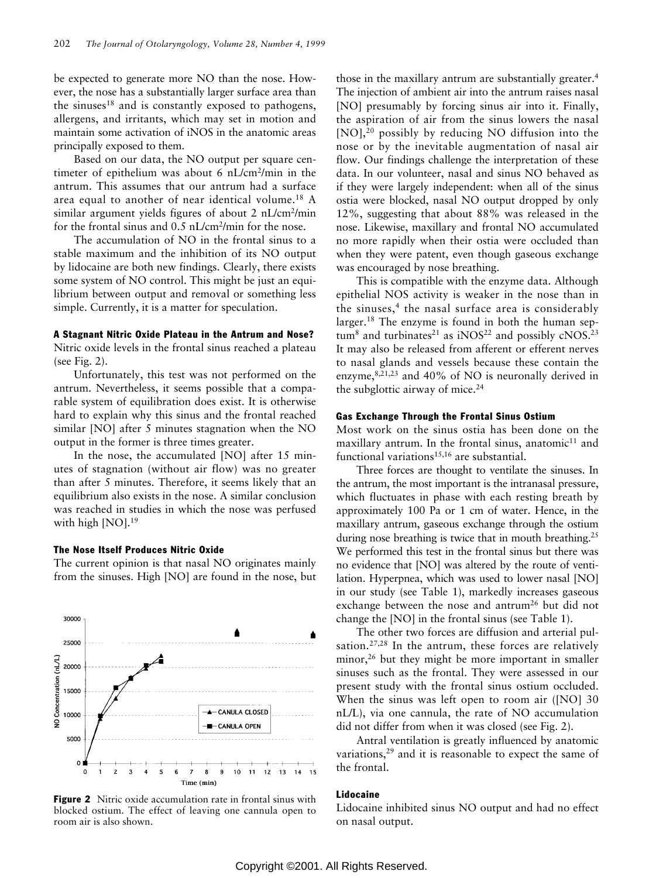<span id="page-5-0"></span>be expected to generate more NO than the nose. However, the nose has a substantially larger surface area than the sinuses $18$  and is constantly exposed to pathogens, allergens, and irritants, which may set in motion and maintain some activation of iNOS in the anatomic areas principally exposed to them.

Based on our data, the NO output per square centimeter of epithelium was about 6 nL/cm2/min in the antrum. This assumes that our antrum had a surface area equal to another of near identical volume.18 A similar argument yields figures of about 2 nL/cm<sup>2</sup>/min for the frontal sinus and  $0.5$  nL/cm<sup>2</sup>/min for the nose.

The accumulation of NO in the frontal sinus to a stable maximum and the inhibition of its NO output by lidocaine are both new findings. Clearly, there exists some system of NO control. This might be just an equilibrium between output and removal or something less simple. Currently, it is a matter for speculation.

#### A Stagnant Nitric Oxide Plateau in the Antrum and Nose?

Nitric oxide levels in the frontal sinus reached a plateau (see Fig. 2).

Unfortunately, this test was not performed on the antrum. Nevertheless, it seems possible that a comparable system of equilibration does exist. It is otherwise hard to explain why this sinus and the frontal reached similar [NO] after 5 minutes stagnation when the NO output in the former is three times greater.

In the nose, the accumulated [NO] after 15 minutes of stagnation (without air flow) was no greater than after 5 minutes. Therefore, it seems likely that an equilibrium also exists in the nose. A similar conclusion was reached in studies in which the nose was perfused with high  $[NO]$ .<sup>19</sup>

#### The Nose Itself Produces Nitric Oxide

The current opinion is that nasal NO originates mainly from the sinuses. High [NO] are found in the nose, but



Figure 2 Nitric oxide accumulation rate in frontal sinus with blocked ostium. The effect of leaving one cannula open to room air is also shown.

those in the maxillary antrum are substantially greater.4 The injection of ambient air into the antrum raises nasal [NO] presumably by forcing sinus air into it. Finally, the aspiration of air from the sinus lowers the nasal [NO],<sup>20</sup> possibly by reducing NO diffusion into the nose or by the inevitable augmentation of nasal air flow. Our findings challenge the interpretation of these data. In our volunteer, nasal and sinus NO behaved as if they were largely independent: when all of the sinus ostia were blocked, nasal NO output dropped by only 12%, suggesting that about 88% was released in the nose. Likewise, maxillary and frontal NO accumulated no more rapidly when their ostia were occluded than when they were patent, even though gaseous exchange was encouraged by nose breathing.

This is compatible with the enzyme data. Although epithelial NOS activity is weaker in the nose than in the sinuses,<sup>4</sup> the nasal surface area is considerably larger.18 The enzyme is found in both the human sep $tum<sup>8</sup>$  and turbinates<sup>21</sup> as iNOS<sup>22</sup> and possibly cNOS<sup>23</sup> It may also be released from afferent or efferent nerves to nasal glands and vessels because these contain the enzyme, $8,21,23$  and 40% of NO is neuronally derived in the subglottic airway of mice.<sup>24</sup>

## Gas Exchange Through the Frontal Sinus Ostium

Most work on the sinus ostia has been done on the maxillary antrum. In the frontal sinus, anatomic $11$  and functional variations $15,16$  are substantial.

Three forces are thought to ventilate the sinuses. In the antrum, the most important is the intranasal pressure, which fluctuates in phase with each resting breath by approximately 100 Pa or 1 cm of water. Hence, in the maxillary antrum, gaseous exchange through the ostium during nose breathing is twice that in mouth breathing.<sup>25</sup> We performed this test in the frontal sinus but there was no evidence that [NO] was altered by the route of ventilation. Hyperpnea, which was used to lower nasal [NO] in our study [\(see Table 1\),](#page-3-0) markedly increases gaseous exchange between the nose and antrum<sup>26</sup> but did not change the [NO] in the frontal sinus [\(see Table 1\).](#page-3-0)

The other two forces are diffusion and arterial pulsation.<sup>27,28</sup> In the antrum, these forces are relatively minor,<sup>26</sup> but they might be more important in smaller sinuses such as the frontal. They were assessed in our present study with the frontal sinus ostium occluded. When the sinus was left open to room air ([NO] 30 nL/L), via one cannula, the rate of NO accumulation did not differ from when it was closed (see Fig. 2).

Antral ventilation is greatly influenced by anatomic variations, $29$  and it is reasonable to expect the same of the frontal.

#### Lidocaine

Lidocaine inhibited sinus NO output and had no effect on nasal output.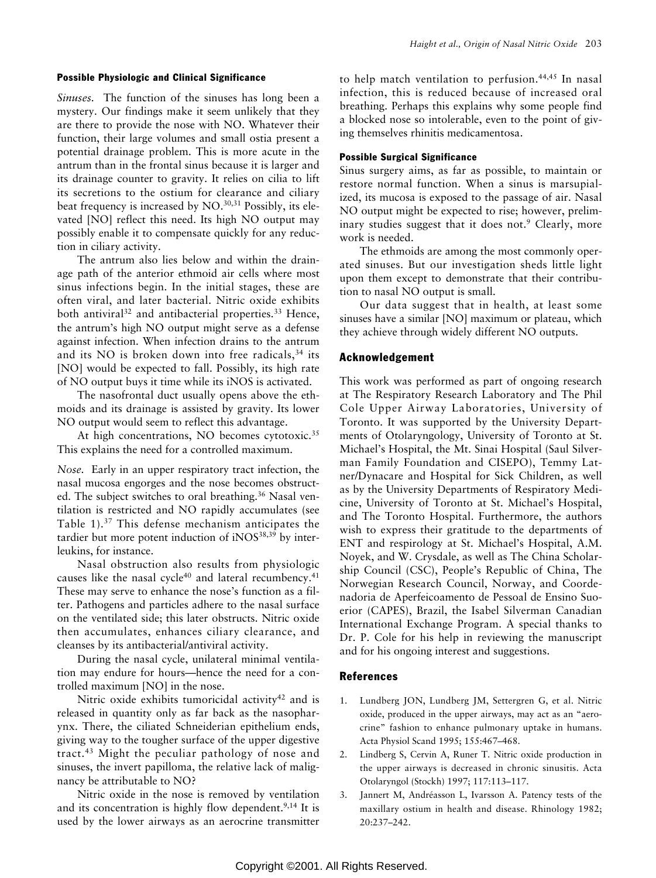#### Possible Physiologic and Clinical Significance

*Sinuses.* The function of the sinuses has long been a mystery. Our findings make it seem unlikely that they are there to provide the nose with NO. Whatever their function, their large volumes and small ostia present a potential drainage problem. This is more acute in the antrum than in the frontal sinus because it is larger and its drainage counter to gravity. It relies on cilia to lift its secretions to the ostium for clearance and ciliary beat frequency is increased by NO.<sup>30,31</sup> Possibly, its elevated [NO] reflect this need. Its high NO output may possibly enable it to compensate quickly for any reduction in ciliary activity.

The antrum also lies below and within the drainage path of the anterior ethmoid air cells where most sinus infections begin. In the initial stages, these are often viral, and later bacterial. Nitric oxide exhibits both antiviral<sup>32</sup> and antibacterial properties.<sup>33</sup> Hence, the antrum's high NO output might serve as a defense against infection. When infection drains to the antrum and its NO is broken down into free radicals,<sup>34</sup> its [NO] would be expected to fall. Possibly, its high rate of NO output buys it time while its iNOS is activated.

The nasofrontal duct usually opens above the ethmoids and its drainage is assisted by gravity. Its lower NO output would seem to reflect this advantage.

At high concentrations, NO becomes cytotoxic.<sup>35</sup> This explains the need for a controlled maximum.

*Nose.* Early in an upper respiratory tract infection, the nasal mucosa engorges and the nose becomes obstructed. The subject switches to oral breathing.<sup>36</sup> Nasal ventilation is restricted and NO rapidly accumulates (see [Table 1\).](#page-3-0)37 This defense mechanism anticipates the tardier but more potent induction of iNOS<sup>38,39</sup> by interleukins, for instance.

Nasal obstruction also results from physiologic causes like the nasal cycle $40$  and lateral recumbency. $41$ These may serve to enhance the nose's function as a filter. Pathogens and particles adhere to the nasal surface on the ventilated side; this later obstructs. Nitric oxide then accumulates, enhances ciliary clearance, and cleanses by its antibacterial/antiviral activity.

During the nasal cycle, unilateral minimal ventilation may endure for hours—hence the need for a controlled maximum [NO] in the nose.

Nitric oxide exhibits tumoricidal activity<sup>42</sup> and is released in quantity only as far back as the nasopharynx. There, the ciliated Schneiderian epithelium ends, giving way to the tougher surface of the upper digestive tract.43 Might the peculiar pathology of nose and sinuses, the invert papilloma, the relative lack of malignancy be attributable to NO?

Nitric oxide in the nose is removed by ventilation and its concentration is highly flow dependent.<sup>9,14</sup> It is used by the lower airways as an aerocrine transmitter to help match ventilation to perfusion.44,45 In nasal infection, this is reduced because of increased oral breathing. Perhaps this explains why some people find a blocked nose so intolerable, even to the point of giving themselves rhinitis medicamentosa.

## Possible Surgical Significance

Sinus surgery aims, as far as possible, to maintain or restore normal function. When a sinus is marsupialized, its mucosa is exposed to the passage of air. Nasal NO output might be expected to rise; however, preliminary studies suggest that it does not.<sup>9</sup> Clearly, more work is needed.

The ethmoids are among the most commonly operated sinuses. But our investigation sheds little light upon them except to demonstrate that their contribution to nasal NO output is small.

Our data suggest that in health, at least some sinuses have a similar [NO] maximum or plateau, which they achieve through widely different NO outputs.

# Acknowledgement

This work was performed as part of ongoing research at The Respiratory Research Laboratory and The Phil Cole Upper Airway Laboratories, University of Toronto. It was supported by the University Departments of Otolaryngology, University of Toronto at St. Michael's Hospital, the Mt. Sinai Hospital (Saul Silverman Family Foundation and CISEPO), Temmy Latner/Dynacare and Hospital for Sick Children, as well as by the University Departments of Respiratory Medicine, University of Toronto at St. Michael's Hospital, and The Toronto Hospital. Furthermore, the authors wish to express their gratitude to the departments of ENT and respirology at St. Michael's Hospital, A.M. Noyek, and W. Crysdale, as well as The China Scholarship Council (CSC), People's Republic of China, The Norwegian Research Council, Norway, and Coordenadoria de Aperfeicoamento de Pessoal de Ensino Suoerior (CAPES), Brazil, the Isabel Silverman Canadian International Exchange Program. A special thanks to Dr. P. Cole for his help in reviewing the manuscript and for his ongoing interest and suggestions.

# References

- 1. Lundberg JON, Lundberg JM, Settergren G, et al. Nitric oxide, produced in the upper airways, may act as an "aerocrine" fashion to enhance pulmonary uptake in humans. Acta Physiol Scand 1995; 155:467–468.
- 2. Lindberg S, Cervin A, Runer T. Nitric oxide production in the upper airways is decreased in chronic sinusitis. Acta Otolaryngol (Stockh) 1997; 117:113–117.
- 3. Jannert M, Andréasson L, Ivarsson A. Patency tests of the maxillary ostium in health and disease. Rhinology 1982; 20:237–242.